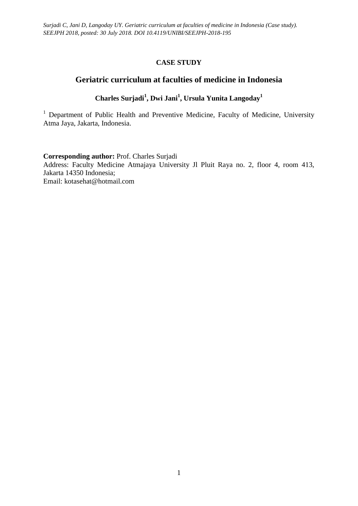# **CASE STUDY**

# **Geriatric curriculum at faculties of medicine in Indonesia**

# **Charles Surjadi<sup>1</sup> , Dwi Jani<sup>1</sup> , Ursula Yunita Langoday<sup>1</sup>**

<sup>1</sup> Department of Public Health and Preventive Medicine, Faculty of Medicine, University Atma Jaya, Jakarta, Indonesia.

**Corresponding author:** Prof. Charles Surjadi

Address: Faculty Medicine Atmajaya University Jl Pluit Raya no. 2, floor 4, room 413, Jakarta 14350 Indonesia; Email: [kotasehat@hotmail.com](mailto:kotasehat@hotmail.com)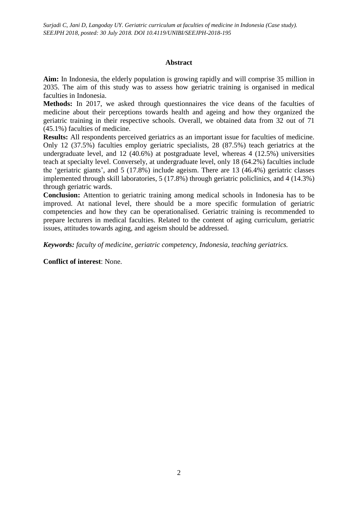*Surjadi C, Jani D, Langoday UY. Geriatric curriculum at faculties of medicine in Indonesia (Case study). SEEJPH 2018, posted: 30 July 2018. DOI 10.4119/UNIBI/SEEJPH-2018-195*

### **Abstract**

**Aim:** In Indonesia, the elderly population is growing rapidly and will comprise 35 million in 2035. The aim of this study was to assess how geriatric training is organised in medical faculties in Indonesia.

Methods: In 2017, we asked through questionnaires the vice deans of the faculties of medicine about their perceptions towards health and ageing and how they organized the geriatric training in their respective schools. Overall, we obtained data from 32 out of 71 (45.1%) faculties of medicine.

**Results:** All respondents perceived geriatrics as an important issue for faculties of medicine. Only 12 (37.5%) faculties employ geriatric specialists, 28 (87.5%) teach geriatrics at the undergraduate level, and 12 (40.6%) at postgraduate level, whereas 4 (12.5%) universities teach at specialty level. Conversely, at undergraduate level, only 18 (64.2%) faculties include the 'geriatric giants', and 5 (17.8%) include ageism. There are 13 (46.4%) geriatric classes implemented through skill laboratories, 5 (17.8%) through geriatric policlinics, and 4 (14.3%) through geriatric wards.

**Conclusion:** Attention to geriatric training among medical schools in Indonesia has to be improved. At national level, there should be a more specific formulation of geriatric competencies and how they can be operationalised. Geriatric training is recommended to prepare lecturers in medical faculties. Related to the content of aging curriculum, geriatric issues, attitudes towards aging, and ageism should be addressed.

*Keywords: faculty of medicine, geriatric competency, Indonesia, teaching geriatrics.* 

**Conflict of interest**: None.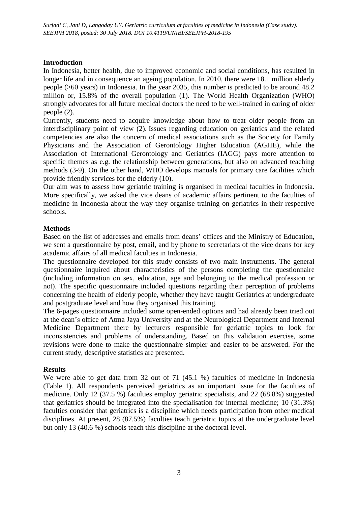## **Introduction**

In Indonesia, better health, due to improved economic and social conditions, has resulted in longer life and in consequence an ageing population. In 2010, there were 18.1 million elderly people (>60 years) in Indonesia. In the year 2035, this number is predicted to be around 48.2 million or, 15.8% of the overall population (1). The World Health Organization (WHO) strongly advocates for all future medical doctors the need to be well-trained in caring of older people (2).

Currently, students need to acquire knowledge about how to treat older people from an interdisciplinary point of view (2). Issues regarding education on geriatrics and the related competencies are also the concern of medical associations such as the Society for Family Physicians and the Association of Gerontology Higher Education (AGHE), while the Association of International Gerontology and Geriatrics (IAGG) pays more attention to specific themes as e.g. the relationship between generations, but also on advanced teaching methods (3-9). On the other hand, WHO develops manuals for primary care facilities which provide friendly services for the elderly (10).

Our aim was to assess how geriatric training is organised in medical faculties in Indonesia. More specifically, we asked the vice deans of academic affairs pertinent to the faculties of medicine in Indonesia about the way they organise training on geriatrics in their respective schools.

## **Methods**

Based on the list of addresses and emails from deans' offices and the Ministry of Education, we sent a questionnaire by post, email, and by phone to secretariats of the vice deans for key academic affairs of all medical faculties in Indonesia.

The questionnaire developed for this study consists of two main instruments. The general questionnaire inquired about characteristics of the persons completing the questionnaire (including information on sex, education, age and belonging to the medical profession or not). The specific questionnaire included questions regarding their perception of problems concerning the health of elderly people, whether they have taught Geriatrics at undergraduate and postgraduate level and how they organised this training.

The 6-pages questionnaire included some open-ended options and had already been tried out at the dean's office of Atma Jaya University and at the Neurological Department and Internal Medicine Department there by lecturers responsible for geriatric topics to look for inconsistencies and problems of understanding. Based on this validation exercise, some revisions were done to make the questionnaire simpler and easier to be answered. For the current study, descriptive statistics are presented.

### **Results**

We were able to get data from 32 out of 71 (45.1 %) faculties of medicine in Indonesia (Table 1). All respondents perceived geriatrics as an important issue for the faculties of medicine. Only 12 (37.5 %) faculties employ geriatric specialists, and 22 (68.8%) suggested that geriatrics should be integrated into the specialisation for internal medicine; 10 (31.3%) faculties consider that geriatrics is a discipline which needs participation from other medical disciplines. At present, 28 (87.5%) faculties teach geriatric topics at the undergraduate level but only 13 (40.6 %) schools teach this discipline at the doctoral level.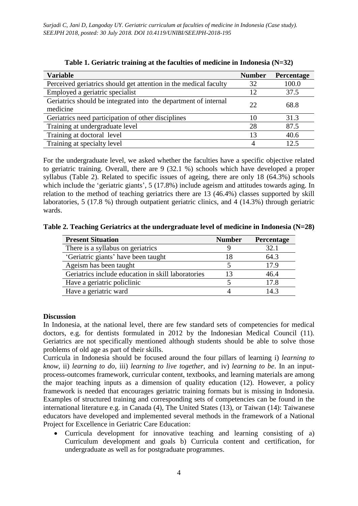| <b>Variable</b>                                                             | <b>Number</b> | Percentage |
|-----------------------------------------------------------------------------|---------------|------------|
| Perceived geriatrics should get attention in the medical faculty            | 32            | 100.0      |
| Employed a geriatric specialist                                             | 12            | 37.5       |
| Geriatrics should be integrated into the department of internal<br>medicine | 22            | 68.8       |
| Geriatrics need participation of other disciplines                          | 10            | 31.3       |
| Training at undergraduate level                                             | 28            | 87.5       |
| Training at doctoral level                                                  | 13            | 40.6       |
| Training at specialty level                                                 | 4             | 12.5       |

**Table 1. Geriatric training at the faculties of medicine in Indonesia (N=32)**

For the undergraduate level, we asked whether the faculties have a specific objective related to geriatric training. Overall, there are 9 (32.1 %) schools which have developed a proper syllabus (Table 2). Related to specific issues of ageing, there are only 18 (64.3%) schools which include the 'geriatric giants', 5 (17.8%) include ageism and attitudes towards aging. In relation to the method of teaching geriatrics there are 13 (46.4%) classes supported by skill laboratories, 5 (17.8 %) through outpatient geriatric clinics, and 4 (14.3%) through geriatric wards.

**Table 2. Teaching Geriatrics at the undergraduate level of medicine in Indonesia (N=28)**

| <b>Present Situation</b>                           | <b>Number</b> | <b>Percentage</b> |
|----------------------------------------------------|---------------|-------------------|
| There is a syllabus on geriatrics                  |               | 32.1              |
| 'Geriatric giants' have been taught                | 18            | 64.3              |
| Ageism has been taught                             |               | 17.9              |
| Geriatrics include education in skill laboratories |               | 46.4              |
| Have a geriatric policlinic                        |               | 17.8              |
| Have a geriatric ward                              |               | 14.3              |

### **Discussion**

In Indonesia, at the national level, there are few standard sets of competencies for medical doctors, e.g. for dentists formulated in 2012 by the Indonesian Medical Council (11). Geriatrics are not specifically mentioned although students should be able to solve those problems of old age as part of their skills.

Curricula in Indonesia should be focused around the four pillars of learning i) *learning to know*, ii) *learning to do,* iii) *learning to live together,* and iv) *learning to be*. In an inputprocess-outcomes framework, curricular content, textbooks, and learning materials are among the major teaching inputs as a dimension of quality education (12). However, a policy framework is needed that encourages geriatric training formats but is missing in Indonesia. Examples of structured training and corresponding sets of competencies can be found in the international literature e.g. in Canada (4), The United States (13), or Taiwan (14): Taiwanese educators have developed and implemented several methods in the framework of a National Project for Excellence in Geriatric Care Education:

 Curricula development for innovative teaching and learning consisting of a) Curriculum development and goals b) Curricula content and certification, for undergraduate as well as for postgraduate programmes.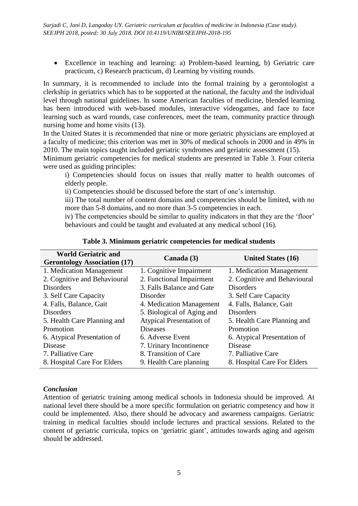Excellence in teaching and learning: a) Problem-based learning, b) Geriatric care practicum, c) Research practicum, d) Learning by visiting rounds.

In summary, it is recommended to include into the formal training by a gerontologist a clerkship in geriatrics which has to be supported at the national, the faculty and the individual level through national guidelines. In some American faculties of medicine, blended learning has been introduced with web-based modules, interactive videogames, and face to face learning such as ward rounds, case conferences, meet the team, community practice through nursing home and home visits  $(13)$ .

In the United States it is recommended that nine or more geriatric physicians are employed at a faculty of medicine; this criterion was met in 30% of medical schools in 2000 and in 49% in 2010. The main topics taught included geriatric syndromes and geriatric assessment (15).

Minimum geriatric competencies for medical students are presented in Table 3. Four criteria were used as guiding principles:

i) Competencies should focus on issues that really matter to health outcomes of elderly people.

ii) Competencies should be discussed before the start of one's internship.

iii) The total number of content domains and competencies should be limited, with no more than 5-8 domains, and no more than 3-5 competencies in each.

iv) The competencies should be similar to quality indicators in that they are the 'floor' behaviours and could be taught and evaluated at any medical school (16).

| <b>World Geriatric and</b><br><b>Gerontology Association (17)</b> | Canada (3)                      | <b>United States (16)</b>    |
|-------------------------------------------------------------------|---------------------------------|------------------------------|
| 1. Medication Management                                          | 1. Cognitive Impairment         | 1. Medication Management     |
| 2. Cognitive and Behavioural                                      | 2. Functional Impairment        | 2. Cognitive and Behavioural |
| <b>Disorders</b>                                                  | 3. Falls Balance and Gate       | <b>Disorders</b>             |
| 3. Self Care Capacity                                             | Disorder                        | 3. Self Care Capacity        |
| 4. Falls, Balance, Gait                                           | 4. Medication Management        | 4. Falls, Balance, Gait      |
| <b>Disorders</b>                                                  | 5. Biological of Aging and      | <b>Disorders</b>             |
| 5. Health Care Planning and                                       | <b>Atypical Presentation of</b> | 5. Health Care Planning and  |
| Promotion                                                         | <b>Diseases</b>                 | Promotion                    |
| 6. Atypical Presentation of                                       | 6. Adverse Event                | 6. Atypical Presentation of  |
| Disease                                                           | 7. Urinary Incontinence         | Disease                      |
| 7. Palliative Care                                                | 8. Transition of Care           | 7. Palliative Care           |
| 8. Hospital Care For Elders                                       | 9. Health Care planning         | 8. Hospital Care For Elders  |

#### **Table 3. Minimum geriatric competencies for medical students**

#### *Conclusion*

Attention of geriatric training among medical schools in Indonesia should be improved. At national level there should be a more specific formulation on geriatric competency and how it could be implemented. Also, there should be advocacy and awareness campaigns. Geriatric training in medical faculties should include lectures and practical sessions. Related to the content of geriatric curricula, topics on 'geriatric giant', attitudes towards aging and ageism should be addressed.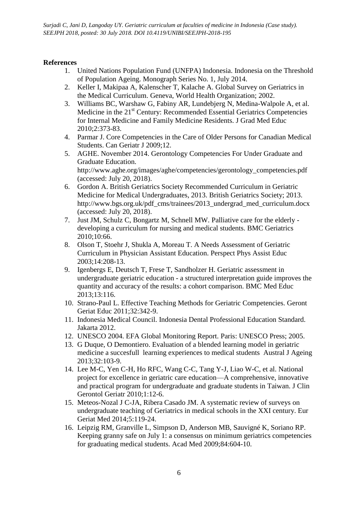*Surjadi C, Jani D, Langoday UY. Geriatric curriculum at faculties of medicine in Indonesia (Case study). SEEJPH 2018, posted: 30 July 2018. DOI 10.4119/UNIBI/SEEJPH-2018-195*

## **References**

- 1. United Nations Population Fund (UNFPA) Indonesia. Indonesia on the Threshold of Population Ageing. Monograph Series No. 1, July 2014.
- 2. Keller I, Makipaa A, Kalenscher T, Kalache A. Global Survey on Geriatrics in the Medical Curriculum. Geneva, World Health Organization; 2002.
- 3. Williams BC, Warshaw G, Fabiny AR, Lundebjerg N, Medina-Walpole A, et al. Medicine in the 21<sup>st</sup> Century: Recommended Essential Geriatrics Competencies for Internal Medicine and Family Medicine Residents. J Grad Med Educ 2010;2:373-83.
- 4. Parmar J. Core Competencies in the Care of Older Persons for Canadian Medical Students. Can Geriatr J 2009;12.
- 5. AGHE. November 2014. Gerontology Competencies For Under Graduate and Graduate Education. [http://www.aghe.org/images/aghe/competencies/gerontology\\_competencies.pdf](http://www.aghe.org/images/aghe/competencies/gerontology_competencies.pdf) (accessed: July 20, 2018).
- 6. Gordon A. British Geriatrics Society Recommended Curriculum in Geriatric Medicine for Medical Undergraduates, 2013. British Geriatrics Society; 2013. http://www.bgs.org.uk/pdf\_cms/trainees/2013\_undergrad\_med\_curriculum.docx (accessed: July 20, 2018).
- 7. Just JM, Schulz C, Bongartz M, Schnell MW. Palliative care for the elderly developing a curriculum for nursing and medical students. BMC Geriatrics 2010;10:66.
- 8. Olson T, Stoehr J, Shukla A, Moreau T. A Needs Assessment of Geriatric Curriculum in Physician Assistant Education. Perspect Phys Assist Educ 2003;14:208-13.
- 9. Igenbergs E, Deutsch T, Frese T, Sandholzer H. Geriatric assessment in undergraduate geriatric education - a structured interpretation guide improves the quantity and accuracy of the results: a cohort comparison. BMC Med Educ 2013;13:116.
- 10. Strano-Paul L. Effective Teaching Methods for Geriatric Competencies. Geront Geriat Educ 2011;32:342-9.
- 11. Indonesia Medical Council. Indonesia Dental Professional Education Standard. Jakarta 2012.
- 12. UNESCO 2004. EFA Global Monitoring Report. Paris: UNESCO Press; 2005.
- 13. G Duque, O Demontiero. Evaluation of a blended learning model in geriatric medicine a succesfull learning experiences to medical students Austral J Ageing 2013;32:103-9.
- 14. Lee M-C, Yen C-H, Ho RFC, Wang C-C, Tang Y-J, Liao W-C, et al. National project for excellence in geriatric care education—A comprehensive, innovative and practical program for undergraduate and graduate students in Taiwan. J Clin Gerontol Geriatr 2010;1:12-6.
- 15. Meteos-Nozal J C-JA, Ribera Casado JM. A systematic review of surveys on undergraduate teaching of Geriatrics in medical schools in the XXI century. Eur Geriat Med 2014;5:119-24.
- 16. Leipzig RM, Granville L, Simpson D, Anderson MB, Sauvigné K, Soriano RP. Keeping granny safe on July 1: a consensus on minimum geriatrics competencies for graduating medical students. Acad Med 2009;84:604-10.